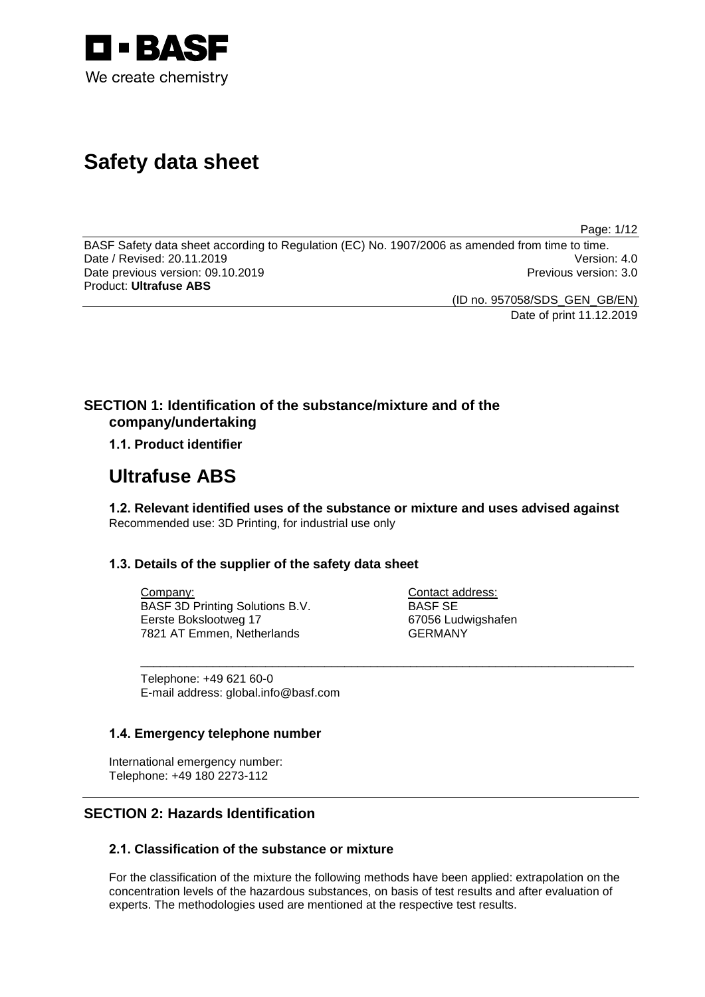

# **Safety data sheet**

Page: 1/12

BASF Safety data sheet according to Regulation (EC) No. 1907/2006 as amended from time to time.<br>Date / Revised: 20.11.2019 Version: 4.0 Date / Revised: 20.11.2019 Date previous version: 09.10.2019 **Previous version: 3.0** Previous version: 3.0 Product: **Ultrafuse ABS**

(ID no. 957058/SDS\_GEN\_GB/EN)

Date of print 11.12.2019

## **SECTION 1: Identification of the substance/mixture and of the company/undertaking**

## **1.1. Product identifier**

## **Ultrafuse ABS**

**1.2. Relevant identified uses of the substance or mixture and uses advised against** Recommended use: 3D Printing, for industrial use only

\_\_\_\_\_\_\_\_\_\_\_\_\_\_\_\_\_\_\_\_\_\_\_\_\_\_\_\_\_\_\_\_\_\_\_\_\_\_\_\_\_\_\_\_\_\_\_\_\_\_\_\_\_\_\_\_\_\_\_\_\_\_\_\_\_\_\_\_\_\_\_\_\_\_\_

## **1.3. Details of the supplier of the safety data sheet**

Company: BASF 3D Printing Solutions B.V. Eerste Bokslootweg 17 7821 AT Emmen, Netherlands

Contact address: BASF SE 67056 Ludwigshafen GERMANY

Telephone: +49 621 60-0 E-mail address: global.info@basf.com

## **1.4. Emergency telephone number**

International emergency number: Telephone: +49 180 2273-112

## **SECTION 2: Hazards Identification**

## **2.1. Classification of the substance or mixture**

For the classification of the mixture the following methods have been applied: extrapolation on the concentration levels of the hazardous substances, on basis of test results and after evaluation of experts. The methodologies used are mentioned at the respective test results.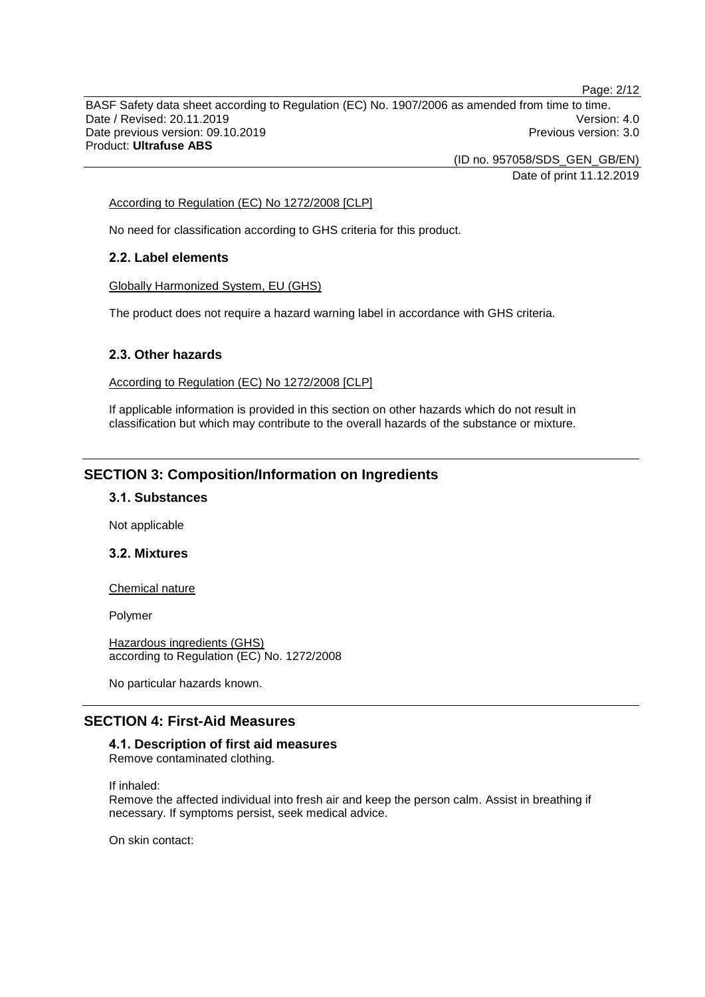BASF Safety data sheet according to Regulation (EC) No. 1907/2006 as amended from time to time. Date / Revised: 20.11.2019 Version: 4.0 Date previous version: 09.10.2019 **Previous version: 3.0** Previous version: 3.0 Product: **Ultrafuse ABS**

(ID no. 957058/SDS\_GEN\_GB/EN)

Date of print 11.12.2019

#### According to Regulation (EC) No 1272/2008 [CLP]

No need for classification according to GHS criteria for this product.

## **2.2. Label elements**

Globally Harmonized System, EU (GHS)

The product does not require a hazard warning label in accordance with GHS criteria.

## **2.3. Other hazards**

According to Regulation (EC) No 1272/2008 [CLP]

If applicable information is provided in this section on other hazards which do not result in classification but which may contribute to the overall hazards of the substance or mixture.

## **SECTION 3: Composition/Information on Ingredients**

## **3.1. Substances**

Not applicable

## **3.2. Mixtures**

#### Chemical nature

Polymer

Hazardous ingredients (GHS) according to Regulation (EC) No. 1272/2008

No particular hazards known.

## **SECTION 4: First-Aid Measures**

## **4.1. Description of first aid measures**

Remove contaminated clothing.

If inhaled:

Remove the affected individual into fresh air and keep the person calm. Assist in breathing if necessary. If symptoms persist, seek medical advice.

On skin contact:

Page: 2/12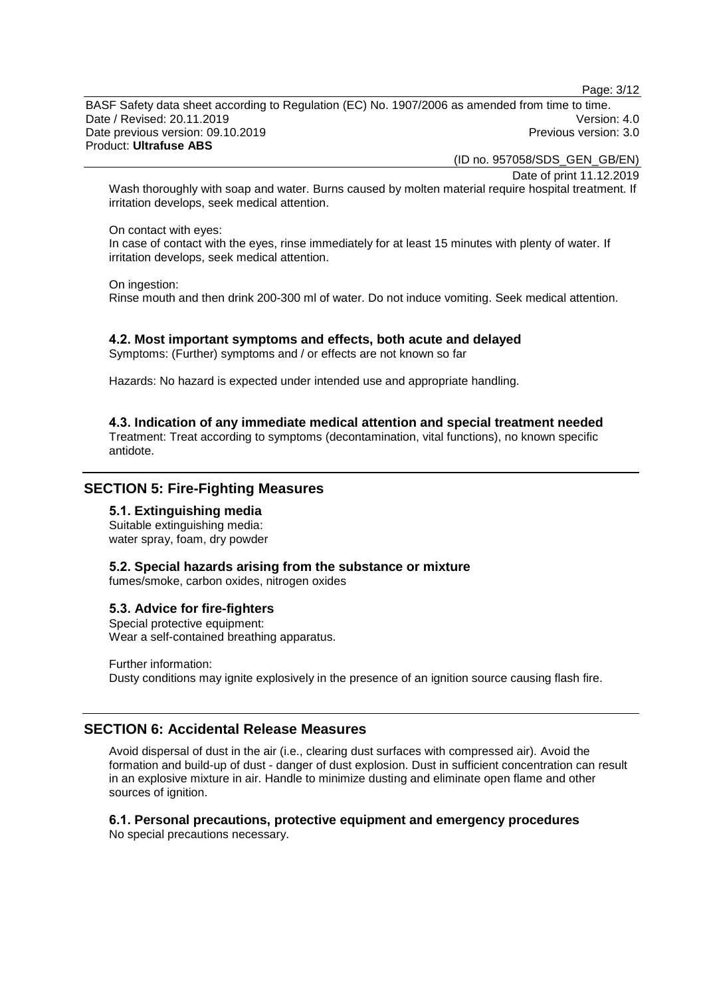Page: 3/12

BASF Safety data sheet according to Regulation (EC) No. 1907/2006 as amended from time to time. Date / Revised: 20.11.2019 Version: 4.0 Date previous version: 09.10.2019 **Previous version: 3.0** Previous version: 3.0 Product: **Ultrafuse ABS**

(ID no. 957058/SDS\_GEN\_GB/EN)

Date of print 11.12.2019

Wash thoroughly with soap and water. Burns caused by molten material require hospital treatment. If irritation develops, seek medical attention.

#### On contact with eyes:

In case of contact with the eyes, rinse immediately for at least 15 minutes with plenty of water. If irritation develops, seek medical attention.

On ingestion: Rinse mouth and then drink 200-300 ml of water. Do not induce vomiting. Seek medical attention.

#### **4.2. Most important symptoms and effects, both acute and delayed**

Symptoms: (Further) symptoms and / or effects are not known so far

Hazards: No hazard is expected under intended use and appropriate handling.

#### **4.3. Indication of any immediate medical attention and special treatment needed**

Treatment: Treat according to symptoms (decontamination, vital functions), no known specific antidote.

## **SECTION 5: Fire-Fighting Measures**

## **5.1. Extinguishing media**

Suitable extinguishing media: water spray, foam, dry powder

## **5.2. Special hazards arising from the substance or mixture**

fumes/smoke, carbon oxides, nitrogen oxides

#### **5.3. Advice for fire-fighters**

Special protective equipment: Wear a self-contained breathing apparatus.

Further information: Dusty conditions may ignite explosively in the presence of an ignition source causing flash fire.

## **SECTION 6: Accidental Release Measures**

Avoid dispersal of dust in the air (i.e., clearing dust surfaces with compressed air). Avoid the formation and build-up of dust - danger of dust explosion. Dust in sufficient concentration can result in an explosive mixture in air. Handle to minimize dusting and eliminate open flame and other sources of ignition.

#### **6.1. Personal precautions, protective equipment and emergency procedures** No special precautions necessary.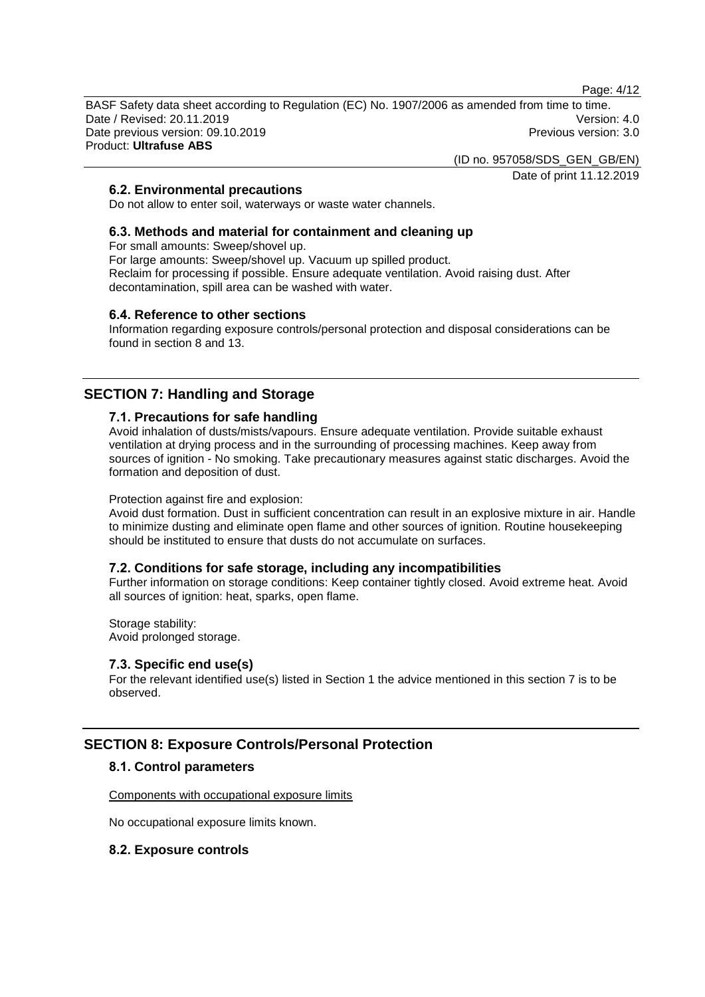Page: 4/12

BASF Safety data sheet according to Regulation (EC) No. 1907/2006 as amended from time to time. Date / Revised: 20.11.2019 Version: 4.0 Date previous version: 09.10.2019 **Previous version: 3.0** Previous version: 3.0 Product: **Ultrafuse ABS**

> (ID no. 957058/SDS\_GEN\_GB/EN) Date of print 11.12.2019

## **6.2. Environmental precautions**

Do not allow to enter soil, waterways or waste water channels.

## **6.3. Methods and material for containment and cleaning up**

For small amounts: Sweep/shovel up.

For large amounts: Sweep/shovel up. Vacuum up spilled product. Reclaim for processing if possible. Ensure adequate ventilation. Avoid raising dust. After decontamination, spill area can be washed with water.

#### **6.4. Reference to other sections**

Information regarding exposure controls/personal protection and disposal considerations can be found in section 8 and 13.

## **SECTION 7: Handling and Storage**

#### **7.1. Precautions for safe handling**

Avoid inhalation of dusts/mists/vapours. Ensure adequate ventilation. Provide suitable exhaust ventilation at drying process and in the surrounding of processing machines. Keep away from sources of ignition - No smoking. Take precautionary measures against static discharges. Avoid the formation and deposition of dust.

#### Protection against fire and explosion:

Avoid dust formation. Dust in sufficient concentration can result in an explosive mixture in air. Handle to minimize dusting and eliminate open flame and other sources of ignition. Routine housekeeping should be instituted to ensure that dusts do not accumulate on surfaces.

#### **7.2. Conditions for safe storage, including any incompatibilities**

Further information on storage conditions: Keep container tightly closed. Avoid extreme heat. Avoid all sources of ignition: heat, sparks, open flame.

Storage stability: Avoid prolonged storage.

#### **7.3. Specific end use(s)**

For the relevant identified use(s) listed in Section 1 the advice mentioned in this section 7 is to be observed.

## **SECTION 8: Exposure Controls/Personal Protection**

#### **8.1. Control parameters**

Components with occupational exposure limits

No occupational exposure limits known.

#### **8.2. Exposure controls**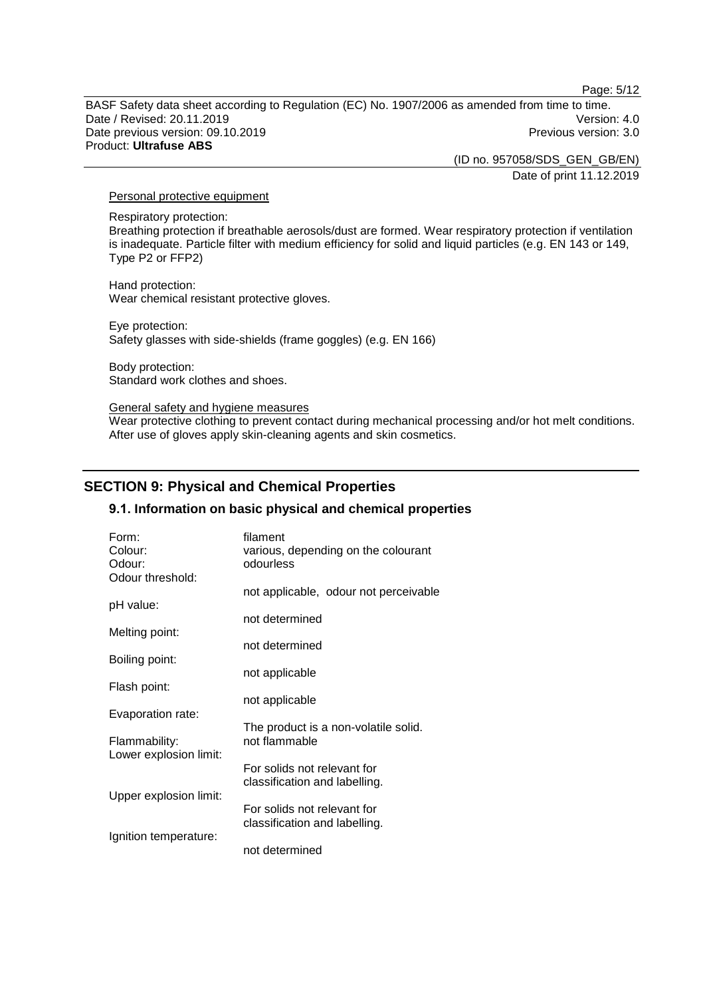Page: 5/12

BASF Safety data sheet according to Regulation (EC) No. 1907/2006 as amended from time to time. Date / Revised: 20.11.2019 Version: 4.0 Date previous version: 09.10.2019 **Previous version: 3.0** Previous version: 3.0 Product: **Ultrafuse ABS**

> (ID no. 957058/SDS\_GEN\_GB/EN) Date of print 11.12.2019

#### Personal protective equipment

Respiratory protection:

Breathing protection if breathable aerosols/dust are formed. Wear respiratory protection if ventilation is inadequate. Particle filter with medium efficiency for solid and liquid particles (e.g. EN 143 or 149, Type P2 or FFP2)

Hand protection: Wear chemical resistant protective gloves.

Eye protection: Safety glasses with side-shields (frame goggles) (e.g. EN 166)

Body protection: Standard work clothes and shoes.

#### General safety and hygiene measures

Wear protective clothing to prevent contact during mechanical processing and/or hot melt conditions. After use of gloves apply skin-cleaning agents and skin cosmetics.

## **SECTION 9: Physical and Chemical Properties**

#### **9.1. Information on basic physical and chemical properties**

| Form:<br>Colour:       | filament<br>various, depending on the colourant              |
|------------------------|--------------------------------------------------------------|
| Odour:                 | odourless                                                    |
| Odour threshold:       |                                                              |
|                        | not applicable, odour not perceivable                        |
| pH value:              |                                                              |
|                        | not determined                                               |
| Melting point:         | not determined                                               |
| Boiling point:         |                                                              |
|                        | not applicable                                               |
| Flash point:           |                                                              |
|                        | not applicable                                               |
| Evaporation rate:      |                                                              |
|                        | The product is a non-volatile solid.                         |
| Flammability:          | not flammable                                                |
| Lower explosion limit: |                                                              |
|                        | For solids not relevant for<br>classification and labelling. |
| Upper explosion limit: |                                                              |
|                        | For solids not relevant for                                  |
|                        | classification and labelling.                                |
| Ignition temperature:  |                                                              |
|                        | not determined                                               |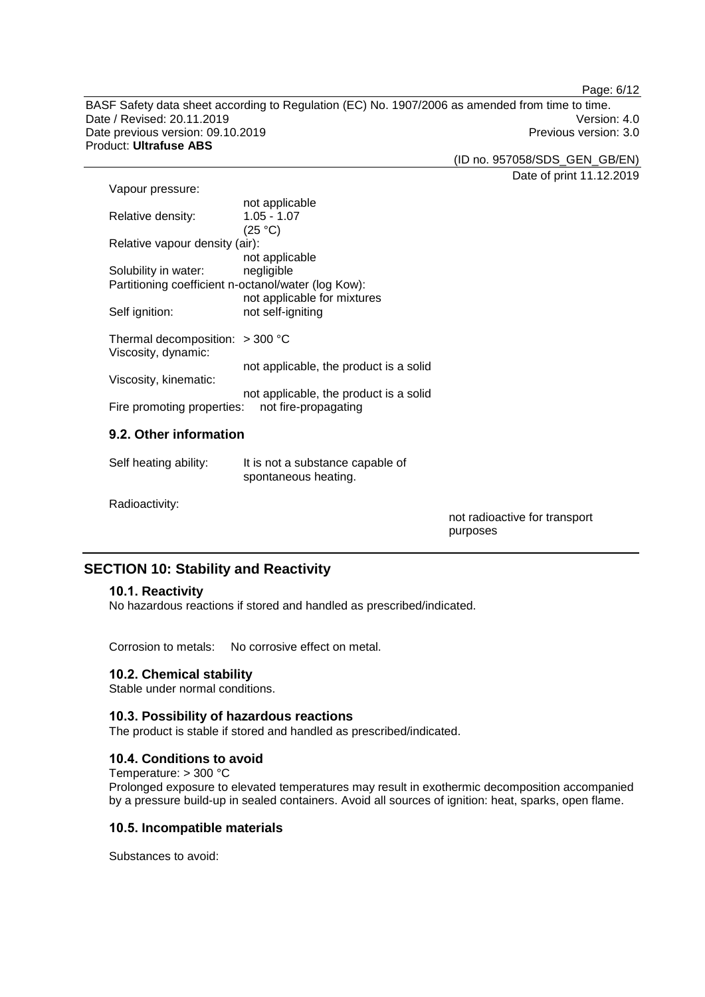Page: 6/12

BASF Safety data sheet according to Regulation (EC) No. 1907/2006 as amended from time to time. Date / Revised: 20.11.2019<br>
Date previous version: 09.10.2019<br>
Date previous version: 09.10.2019 Date previous version: 09.10.2019 Product: **Ultrafuse ABS**

(ID no. 957058/SDS\_GEN\_GB/EN)

Date of print 11.12.2019

| Vapour pressure:                                    |                                        |
|-----------------------------------------------------|----------------------------------------|
|                                                     | not applicable                         |
| Relative density:                                   | $1.05 - 1.07$                          |
|                                                     | (25 °C)                                |
| Relative vapour density (air):                      |                                        |
|                                                     | not applicable                         |
| Solubility in water:                                | negligible                             |
| Partitioning coefficient n-octanol/water (log Kow): |                                        |
|                                                     | not applicable for mixtures            |
| Self ignition:                                      | not self-igniting                      |
|                                                     |                                        |
| Thermal decomposition: $>$ 300 °C                   |                                        |
| Viscosity, dynamic:                                 |                                        |
|                                                     | not applicable, the product is a solid |
| Viscosity, kinematic:                               |                                        |
|                                                     | not applicable, the product is a solid |
| Fire promoting properties: not fire-propagating     |                                        |
|                                                     |                                        |

## **9.2. Other information**

| Self heating ability: | It is not a substance capable of |
|-----------------------|----------------------------------|
|                       | spontaneous heating.             |

Radioactivity:

not radioactive for transport purposes

## **SECTION 10: Stability and Reactivity**

## **10.1. Reactivity**

No hazardous reactions if stored and handled as prescribed/indicated.

Corrosion to metals: No corrosive effect on metal.

## **10.2. Chemical stability**

Stable under normal conditions.

## **10.3. Possibility of hazardous reactions**

The product is stable if stored and handled as prescribed/indicated.

## **10.4. Conditions to avoid**

Temperature: > 300 °C Prolonged exposure to elevated temperatures may result in exothermic decomposition accompanied by a pressure build-up in sealed containers. Avoid all sources of ignition: heat, sparks, open flame.

## **10.5. Incompatible materials**

Substances to avoid: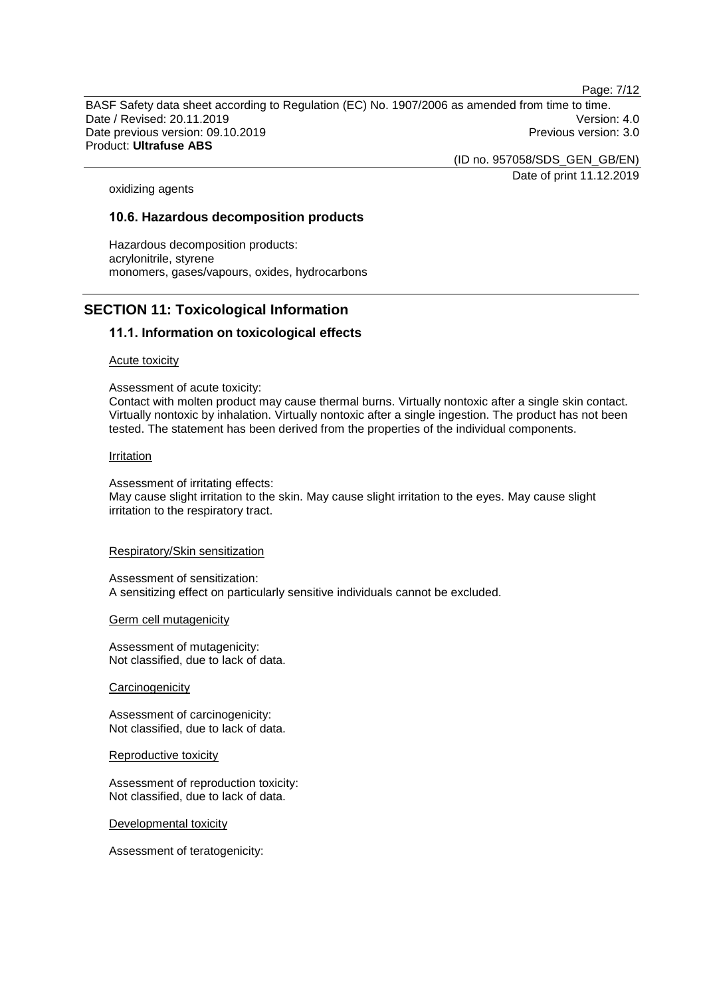Page: 7/12

BASF Safety data sheet according to Regulation (EC) No. 1907/2006 as amended from time to time. Date / Revised: 20.11.2019 Version: 4.0 Date previous version: 09.10.2019 **Previous version: 3.0** Previous version: 3.0 Product: **Ultrafuse ABS**

> (ID no. 957058/SDS\_GEN\_GB/EN) Date of print 11.12.2019

oxidizing agents

## **10.6. Hazardous decomposition products**

Hazardous decomposition products: acrylonitrile, styrene monomers, gases/vapours, oxides, hydrocarbons

## **SECTION 11: Toxicological Information**

## **11.1. Information on toxicological effects**

#### Acute toxicity

Assessment of acute toxicity:

Contact with molten product may cause thermal burns. Virtually nontoxic after a single skin contact. Virtually nontoxic by inhalation. Virtually nontoxic after a single ingestion. The product has not been tested. The statement has been derived from the properties of the individual components.

#### **Irritation**

Assessment of irritating effects:

May cause slight irritation to the skin. May cause slight irritation to the eyes. May cause slight irritation to the respiratory tract.

#### Respiratory/Skin sensitization

Assessment of sensitization: A sensitizing effect on particularly sensitive individuals cannot be excluded.

#### Germ cell mutagenicity

Assessment of mutagenicity: Not classified, due to lack of data.

**Carcinogenicity** 

Assessment of carcinogenicity: Not classified, due to lack of data.

Reproductive toxicity

Assessment of reproduction toxicity: Not classified, due to lack of data.

Developmental toxicity

Assessment of teratogenicity: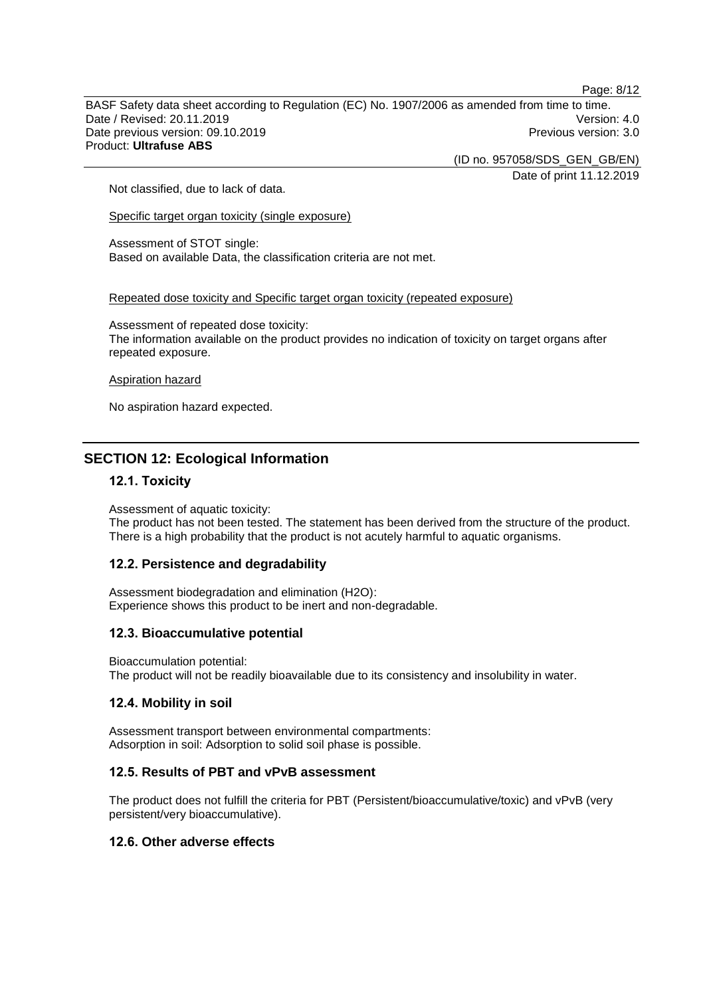BASF Safety data sheet according to Regulation (EC) No. 1907/2006 as amended from time to time. Date / Revised: 20.11.2019 Version: 4.0 Date previous version: 09.10.2019 **Previous version: 3.0** Previous version: 3.0 Product: **Ultrafuse ABS**

(ID no. 957058/SDS\_GEN\_GB/EN)

Date of print 11.12.2019

Page: 8/12

Not classified, due to lack of data.

Specific target organ toxicity (single exposure)

Assessment of STOT single: Based on available Data, the classification criteria are not met.

Repeated dose toxicity and Specific target organ toxicity (repeated exposure)

Assessment of repeated dose toxicity: The information available on the product provides no indication of toxicity on target organs after repeated exposure.

#### Aspiration hazard

No aspiration hazard expected.

## **SECTION 12: Ecological Information**

#### **12.1. Toxicity**

Assessment of aquatic toxicity: The product has not been tested. The statement has been derived from the structure of the product. There is a high probability that the product is not acutely harmful to aquatic organisms.

#### **12.2. Persistence and degradability**

Assessment biodegradation and elimination (H2O): Experience shows this product to be inert and non-degradable.

#### **12.3. Bioaccumulative potential**

Bioaccumulation potential: The product will not be readily bioavailable due to its consistency and insolubility in water.

#### **12.4. Mobility in soil**

Assessment transport between environmental compartments: Adsorption in soil: Adsorption to solid soil phase is possible.

## **12.5. Results of PBT and vPvB assessment**

The product does not fulfill the criteria for PBT (Persistent/bioaccumulative/toxic) and vPvB (very persistent/very bioaccumulative).

#### **12.6. Other adverse effects**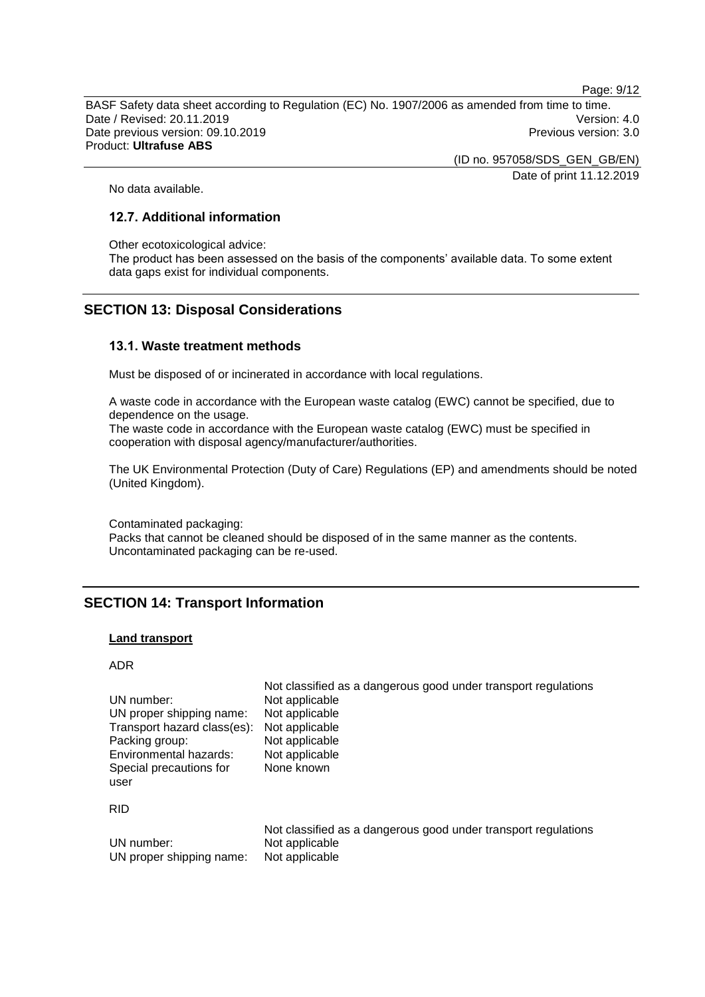Page: 9/12

BASF Safety data sheet according to Regulation (EC) No. 1907/2006 as amended from time to time. Date / Revised: 20.11.2019 Version: 4.0 Date previous version: 09.10.2019 **Previous version: 3.0** Previous version: 3.0 Product: **Ultrafuse ABS**

> (ID no. 957058/SDS\_GEN\_GB/EN) Date of print 11.12.2019

No data available.

## **12.7. Additional information**

Other ecotoxicological advice:

The product has been assessed on the basis of the components' available data. To some extent data gaps exist for individual components.

## **SECTION 13: Disposal Considerations**

#### **13.1. Waste treatment methods**

Must be disposed of or incinerated in accordance with local regulations.

A waste code in accordance with the European waste catalog (EWC) cannot be specified, due to dependence on the usage.

The waste code in accordance with the European waste catalog (EWC) must be specified in cooperation with disposal agency/manufacturer/authorities.

The UK Environmental Protection (Duty of Care) Regulations (EP) and amendments should be noted (United Kingdom).

Contaminated packaging: Packs that cannot be cleaned should be disposed of in the same manner as the contents. Uncontaminated packaging can be re-used.

## **SECTION 14: Transport Information**

#### **Land transport**

ADR

| UN number:                                                              | Not applicable                                                 |
|-------------------------------------------------------------------------|----------------------------------------------------------------|
| UN proper shipping name:                                                | Not applicable                                                 |
| Transport hazard class(es):                                             | Not applicable                                                 |
| Packing group:                                                          | Not applicable                                                 |
| Environmental hazards:<br>Special precautions for<br>user<br><b>RID</b> | Not applicable<br>None known                                   |
|                                                                         | Not classified as a dangerous good under transport regulations |
| UN number:                                                              | Not applicable                                                 |
| UN proper shipping name:                                                | Not applicable                                                 |

Not classified as a dangerous good under transport regulations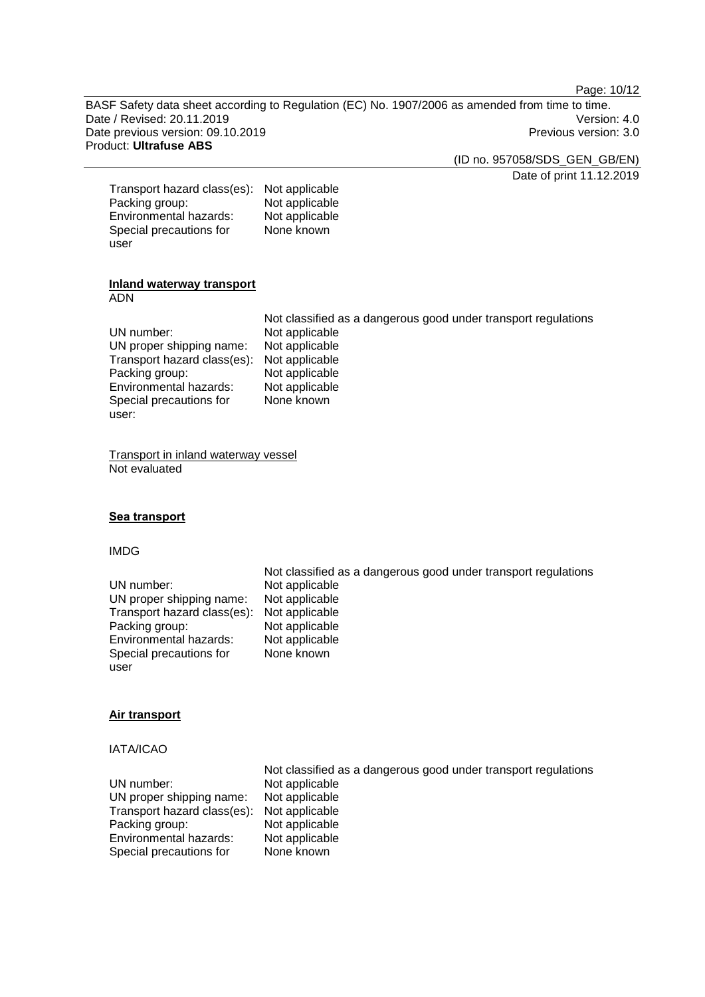Page: 10/12

BASF Safety data sheet according to Regulation (EC) No. 1907/2006 as amended from time to time. Date / Revised: 20.11.2019<br>
Date previous version: 09.10.2019<br>
Date previous version: 09.10.2019 Date previous version: 09.10.2019 Product: **Ultrafuse ABS**

(ID no. 957058/SDS\_GEN\_GB/EN)

Date of print 11.12.2019

| Transport hazard class(es): | Not applicable |
|-----------------------------|----------------|
| Packing group:              | Not applicable |
| Environmental hazards:      | Not applicable |
| Special precautions for     | None known     |
| user                        |                |

#### **Inland waterway transport** ADN

|                                            | Not classified as a dangerous good under transport regulations |
|--------------------------------------------|----------------------------------------------------------------|
| UN number:                                 | Not applicable                                                 |
| UN proper shipping name:                   | Not applicable                                                 |
| Transport hazard class(es): Not applicable |                                                                |
| Packing group:                             | Not applicable                                                 |
| Environmental hazards:                     | Not applicable                                                 |
| Special precautions for                    | None known                                                     |
| user:                                      |                                                                |

Transport in inland waterway vessel Not evaluated

## **Sea transport**

#### IMDG

|                             | Not classified as a dangerous good under transport regulations |
|-----------------------------|----------------------------------------------------------------|
| UN number:                  | Not applicable                                                 |
| UN proper shipping name:    | Not applicable                                                 |
| Transport hazard class(es): | Not applicable                                                 |
| Packing group:              | Not applicable                                                 |
| Environmental hazards:      | Not applicable                                                 |
| Special precautions for     | None known                                                     |
| user                        |                                                                |

#### **Air transport**

## IATA/ICAO

| Not classified as a dangerous good under transport regulations |
|----------------------------------------------------------------|
| Not applicable                                                 |
| Not applicable                                                 |
| Not applicable                                                 |
| Not applicable                                                 |
| Not applicable                                                 |
| None known                                                     |
|                                                                |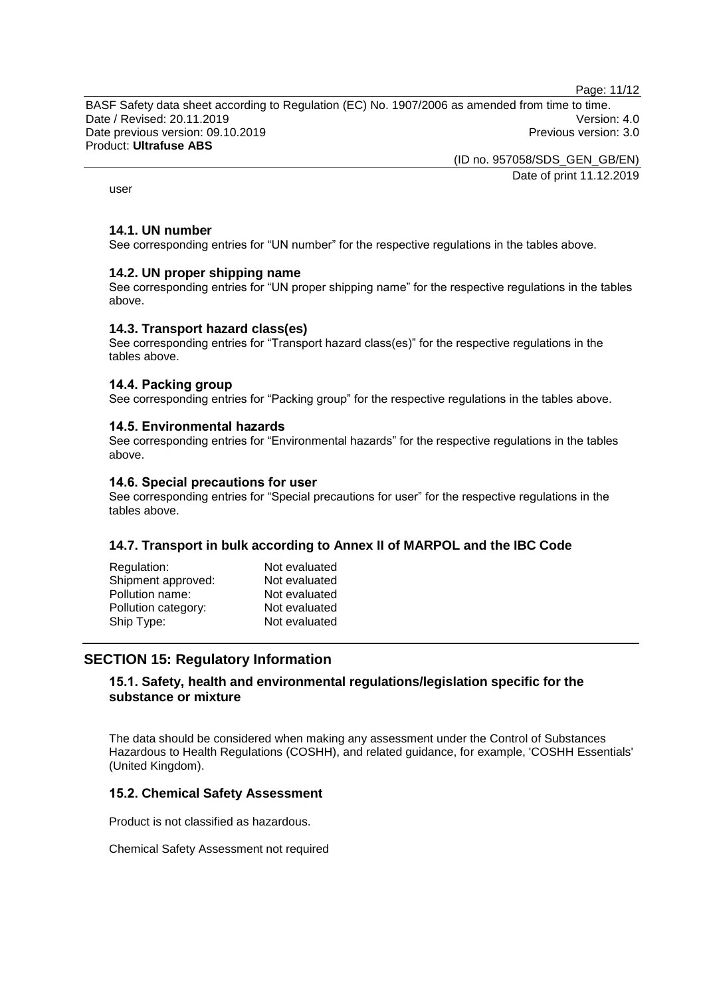Page: 11/12

BASF Safety data sheet according to Regulation (EC) No. 1907/2006 as amended from time to time. Date / Revised: 20.11.2019 Version: 4.0 Date previous version: 09.10.2019 **Previous version: 3.0** Previous version: 3.0 Product: **Ultrafuse ABS**

> (ID no. 957058/SDS\_GEN\_GB/EN) Date of print 11.12.2019

user

#### **14.1. UN number**

See corresponding entries for "UN number" for the respective regulations in the tables above.

#### **14.2. UN proper shipping name**

See corresponding entries for "UN proper shipping name" for the respective regulations in the tables above.

#### **14.3. Transport hazard class(es)**

See corresponding entries for "Transport hazard class(es)" for the respective regulations in the tables above.

#### **14.4. Packing group**

See corresponding entries for "Packing group" for the respective regulations in the tables above.

#### **14.5. Environmental hazards**

See corresponding entries for "Environmental hazards" for the respective regulations in the tables above.

#### **14.6. Special precautions for user**

See corresponding entries for "Special precautions for user" for the respective regulations in the tables above.

#### **14.7. Transport in bulk according to Annex II of MARPOL and the IBC Code**

| Regulation:         | Not evaluated |
|---------------------|---------------|
| Shipment approved:  | Not evaluated |
| Pollution name:     | Not evaluated |
| Pollution category: | Not evaluated |
| Ship Type:          | Not evaluated |
|                     |               |

## **SECTION 15: Regulatory Information**

## **15.1. Safety, health and environmental regulations/legislation specific for the substance or mixture**

The data should be considered when making any assessment under the Control of Substances Hazardous to Health Regulations (COSHH), and related guidance, for example, 'COSHH Essentials' (United Kingdom).

## **15.2. Chemical Safety Assessment**

Product is not classified as hazardous.

Chemical Safety Assessment not required